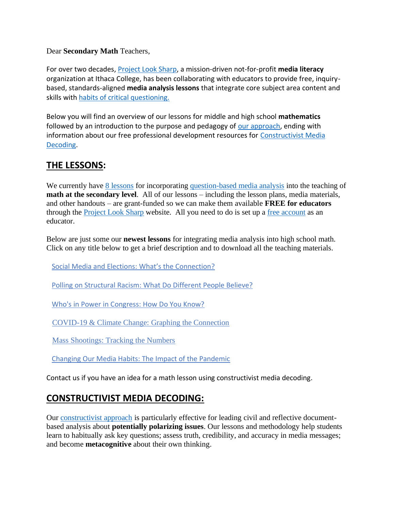Dear **Secondary Math** Teachers,

For over two decades, [Project Look Sharp,](https://www.projectlooksharp.org/) a mission-driven not-for-profit **media literacy** organization at Ithaca College, has been collaborating with educators to provide free, inquirybased, standards-aligned **media analysis lessons** that integrate core subject area content and skills with [habits of critical questioning.](https://projectlooksharp.org/Resources%202/Key-Questions-for-Decoding%20Dec-21.pdf)

Below you will find an overview of our lessons for middle and high school **mathematics** followed by an introduction to the purpose and pedagogy of [our approach,](https://projectlooksharp.org/our-approach.php) ending with information about our free professional development resources for [Constructivist Media](https://projectlooksharp.org/our-approach.php#Constructivist)  [Decoding.](https://projectlooksharp.org/our-approach.php#Constructivist)

## **THE LESSONS:**

We currently have [8 lessons](https://www.projectlooksharp.org/search-result.php?limit=10&search%5Bkeyword%5D=&search%5Bcategory%5D=all&search_filter%5Bresource_subject_area%5D%5B%5D=math&search_filter%5Bresource_grade_level%5D%5B%5D=middle+school&search_filter%5Bresource_grade_level%5D%5B%5D=high+school&search_filter%5Bresource_grade_level%5D%5B%5D=college) for incorporating [question-based media analysis](https://projectlooksharp.org/our-approach.php#Constructivist) into the teaching of **math at the secondary level**. All of our lessons – including the lesson plans, media materials, and other handouts – are grant-funded so we can make them available **FREE for educators** through the **Project Look Sharp website.** All you need to do is set up a <u>free account</u> as an educator.

Below are just some our **newest lessons** for integrating media analysis into high school math. Click on any title below to get a brief description and to download all the teaching materials.

Social Media and Elections: What's the [Connection?](https://www.projectlooksharp.org/front_end_resource.php?resource_id=497)

Polling on [Structural](https://www.projectlooksharp.org/front_end_resource.php?resource_id=561) Racism: What Do Different People Believe?

Who's in Power in [Congress:](https://www.projectlooksharp.org/front_end_resource.php?resource_id=454) How Do You Know?

[COVID-19](https://www.projectlooksharp.org/front_end_resource.php?resource_id=505) & Climate Change: Graphing the Connection

Mass [Shootings:](https://www.projectlooksharp.org/front_end_resource.php?resource_id=456) Tracking the Numbers

Changing Our Media Habits: The Impact of the [Pandemic](https://www.projectlooksharp.org/front_end_resource.php?resource_id=508)

Contact us if you have an idea for a math lesson using constructivist media decoding.

## **CONSTRUCTIVIST MEDIA DECODING:**

Our [constructivist approach](https://projectlooksharp.org/our-approach.php) is particularly effective for leading civil and reflective documentbased analysis about **potentially polarizing issues**. Our lessons and methodology help students learn to habitually ask key questions; assess truth, credibility, and accuracy in media messages; and become **metacognitive** about their own thinking.